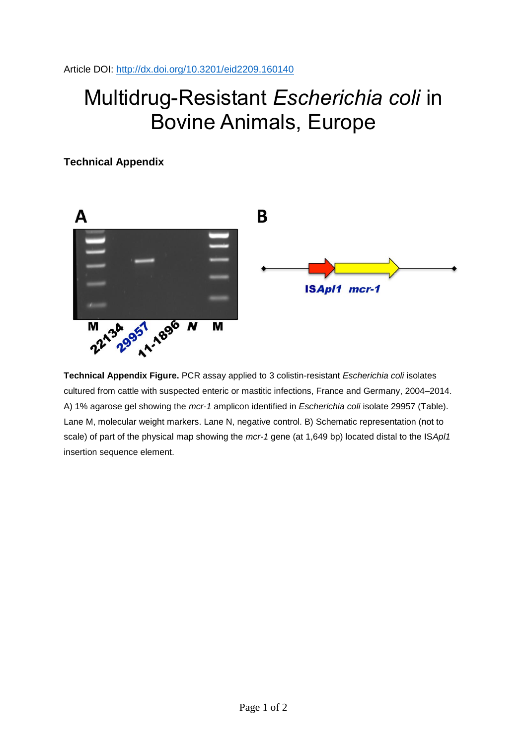Article DOI:<http://dx.doi.org/10.3201/eid2209.160140>

## Multidrug-Resistant *Escherichia coli* in Bovine Animals, Europe

**Technical Appendix**



**Technical Appendix Figure.** PCR assay applied to 3 colistin-resistant *Escherichia coli* isolates cultured from cattle with suspected enteric or mastitic infections, France and Germany, 2004–2014. A) 1% agarose gel showing the *mcr-1* amplicon identified in *Escherichia coli* isolate 29957 (Table). Lane M, molecular weight markers. Lane N, negative control. B) Schematic representation (not to scale) of part of the physical map showing the *mcr-1* gene (at 1,649 bp) located distal to the IS*Apl1* insertion sequence element.